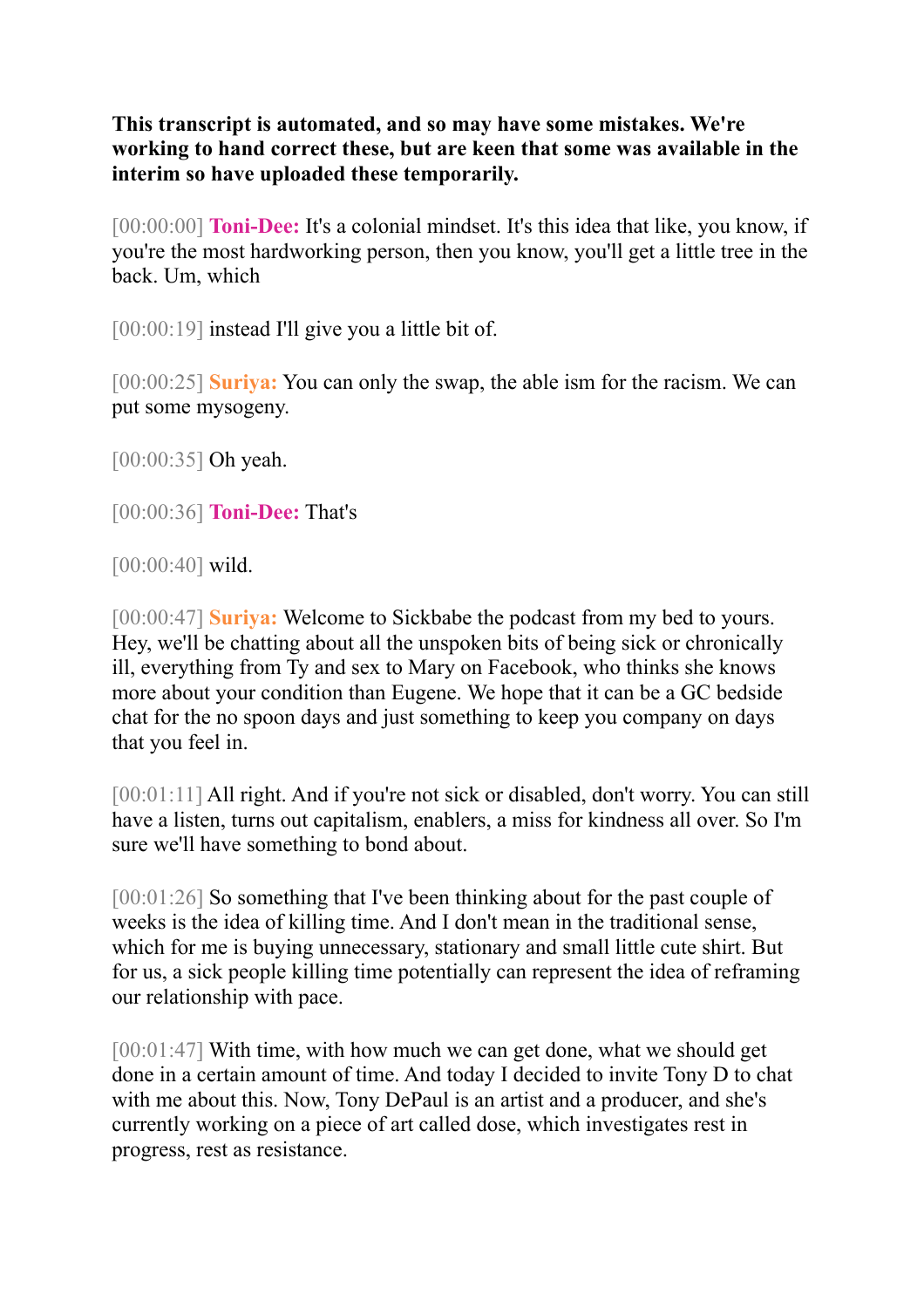**This transcript is automated, and so may have some mistakes. We're working to hand correct these, but are keen that some was available in the interim so have uploaded these temporarily.** 

[00:00:00] **Toni-Dee:** It's a colonial mindset. It's this idea that like, you know, if you're the most hardworking person, then you know, you'll get a little tree in the back. Um, which

[00:00:19] instead I'll give you a little bit of.

[00:00:25] **Suriya:** You can only the swap, the able ism for the racism. We can put some mysogeny.

[00:00:35] Oh yeah.

[00:00:36] **Toni-Dee:** That's

[00:00:40] wild.

[00:00:47] **Suriya:** Welcome to Sickbabe the podcast from my bed to yours. Hey, we'll be chatting about all the unspoken bits of being sick or chronically ill, everything from Ty and sex to Mary on Facebook, who thinks she knows more about your condition than Eugene. We hope that it can be a GC bedside chat for the no spoon days and just something to keep you company on days that you feel in.

[00:01:11] All right. And if you're not sick or disabled, don't worry. You can still have a listen, turns out capitalism, enablers, a miss for kindness all over. So I'm sure we'll have something to bond about.

[00:01:26] So something that I've been thinking about for the past couple of weeks is the idea of killing time. And I don't mean in the traditional sense, which for me is buying unnecessary, stationary and small little cute shirt. But for us, a sick people killing time potentially can represent the idea of reframing our relationship with pace.

[00:01:47] With time, with how much we can get done, what we should get done in a certain amount of time. And today I decided to invite Tony D to chat with me about this. Now, Tony DePaul is an artist and a producer, and she's currently working on a piece of art called dose, which investigates rest in progress, rest as resistance.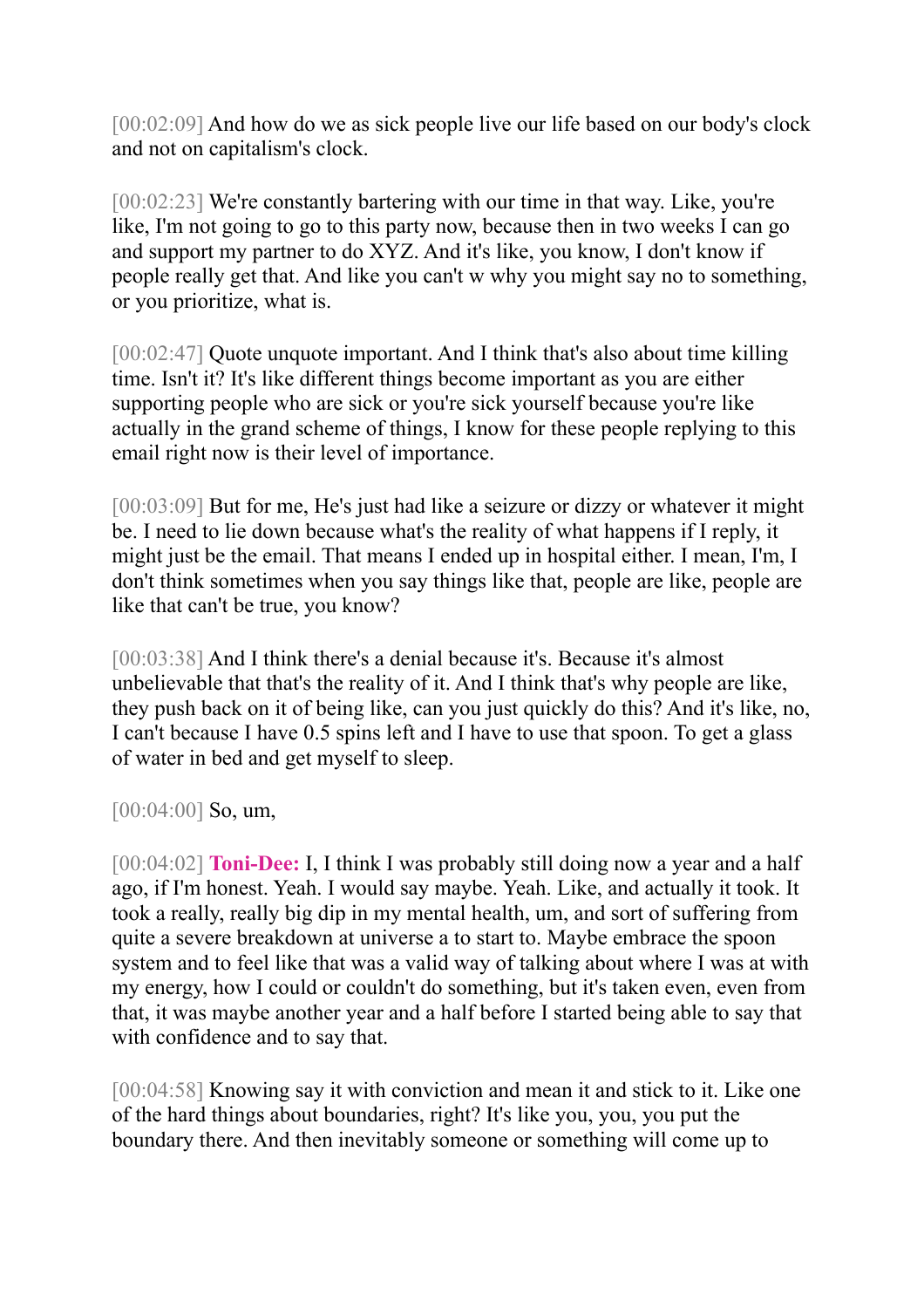[00:02:09] And how do we as sick people live our life based on our body's clock and not on capitalism's clock.

[00:02:23] We're constantly bartering with our time in that way. Like, you're like, I'm not going to go to this party now, because then in two weeks I can go and support my partner to do XYZ. And it's like, you know, I don't know if people really get that. And like you can't w why you might say no to something, or you prioritize, what is.

[00:02:47] Quote unquote important. And I think that's also about time killing time. Isn't it? It's like different things become important as you are either supporting people who are sick or you're sick yourself because you're like actually in the grand scheme of things, I know for these people replying to this email right now is their level of importance.

[00:03:09] But for me, He's just had like a seizure or dizzy or whatever it might be. I need to lie down because what's the reality of what happens if I reply, it might just be the email. That means I ended up in hospital either. I mean, I'm, I don't think sometimes when you say things like that, people are like, people are like that can't be true, you know?

[00:03:38] And I think there's a denial because it's. Because it's almost unbelievable that that's the reality of it. And I think that's why people are like, they push back on it of being like, can you just quickly do this? And it's like, no, I can't because I have 0.5 spins left and I have to use that spoon. To get a glass of water in bed and get myself to sleep.

[00:04:00] **So, um,** 

[00:04:02] **Toni-Dee:** I, I think I was probably still doing now a year and a half ago, if I'm honest. Yeah. I would say maybe. Yeah. Like, and actually it took. It took a really, really big dip in my mental health, um, and sort of suffering from quite a severe breakdown at universe a to start to. Maybe embrace the spoon system and to feel like that was a valid way of talking about where I was at with my energy, how I could or couldn't do something, but it's taken even, even from that, it was maybe another year and a half before I started being able to say that with confidence and to say that.

[00:04:58] Knowing say it with conviction and mean it and stick to it. Like one of the hard things about boundaries, right? It's like you, you, you put the boundary there. And then inevitably someone or something will come up to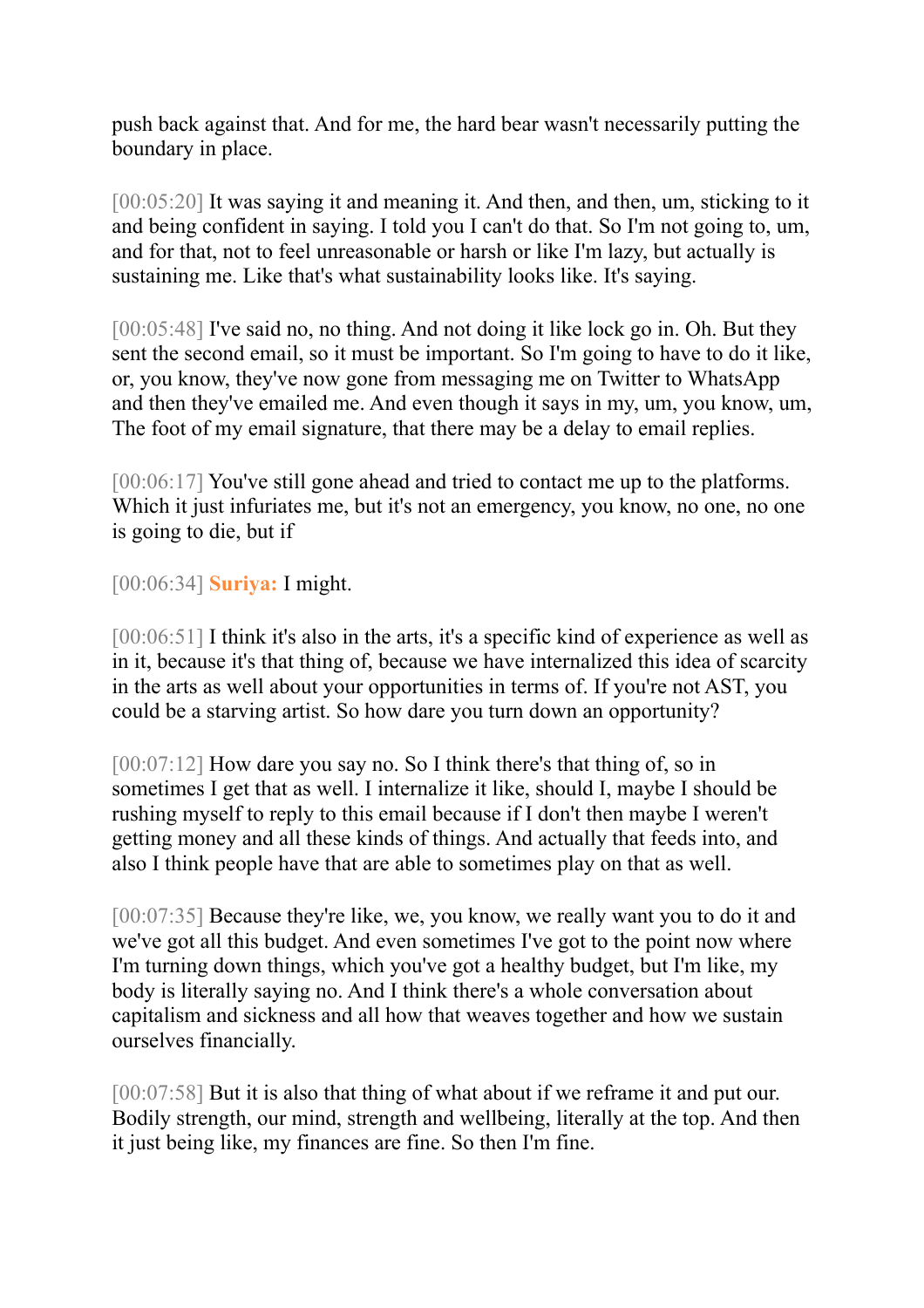push back against that. And for me, the hard bear wasn't necessarily putting the boundary in place.

[00:05:20] It was saying it and meaning it. And then, and then, um, sticking to it and being confident in saying. I told you I can't do that. So I'm not going to, um, and for that, not to feel unreasonable or harsh or like I'm lazy, but actually is sustaining me. Like that's what sustainability looks like. It's saying.

[00:05:48] I've said no, no thing. And not doing it like lock go in. Oh. But they sent the second email, so it must be important. So I'm going to have to do it like, or, you know, they've now gone from messaging me on Twitter to WhatsApp and then they've emailed me. And even though it says in my, um, you know, um, The foot of my email signature, that there may be a delay to email replies.

[00:06:17] You've still gone ahead and tried to contact me up to the platforms. Which it just infuriates me, but it's not an emergency, you know, no one, no one is going to die, but if

[00:06:34] **Suriya:** I might.

[00:06:51] I think it's also in the arts, it's a specific kind of experience as well as in it, because it's that thing of, because we have internalized this idea of scarcity in the arts as well about your opportunities in terms of. If you're not AST, you could be a starving artist. So how dare you turn down an opportunity?

[00:07:12] How dare you say no. So I think there's that thing of, so in sometimes I get that as well. I internalize it like, should I, maybe I should be rushing myself to reply to this email because if I don't then maybe I weren't getting money and all these kinds of things. And actually that feeds into, and also I think people have that are able to sometimes play on that as well.

[00:07:35] Because they're like, we, you know, we really want you to do it and we've got all this budget. And even sometimes I've got to the point now where I'm turning down things, which you've got a healthy budget, but I'm like, my body is literally saying no. And I think there's a whole conversation about capitalism and sickness and all how that weaves together and how we sustain ourselves financially.

[00:07:58] But it is also that thing of what about if we reframe it and put our. Bodily strength, our mind, strength and wellbeing, literally at the top. And then it just being like, my finances are fine. So then I'm fine.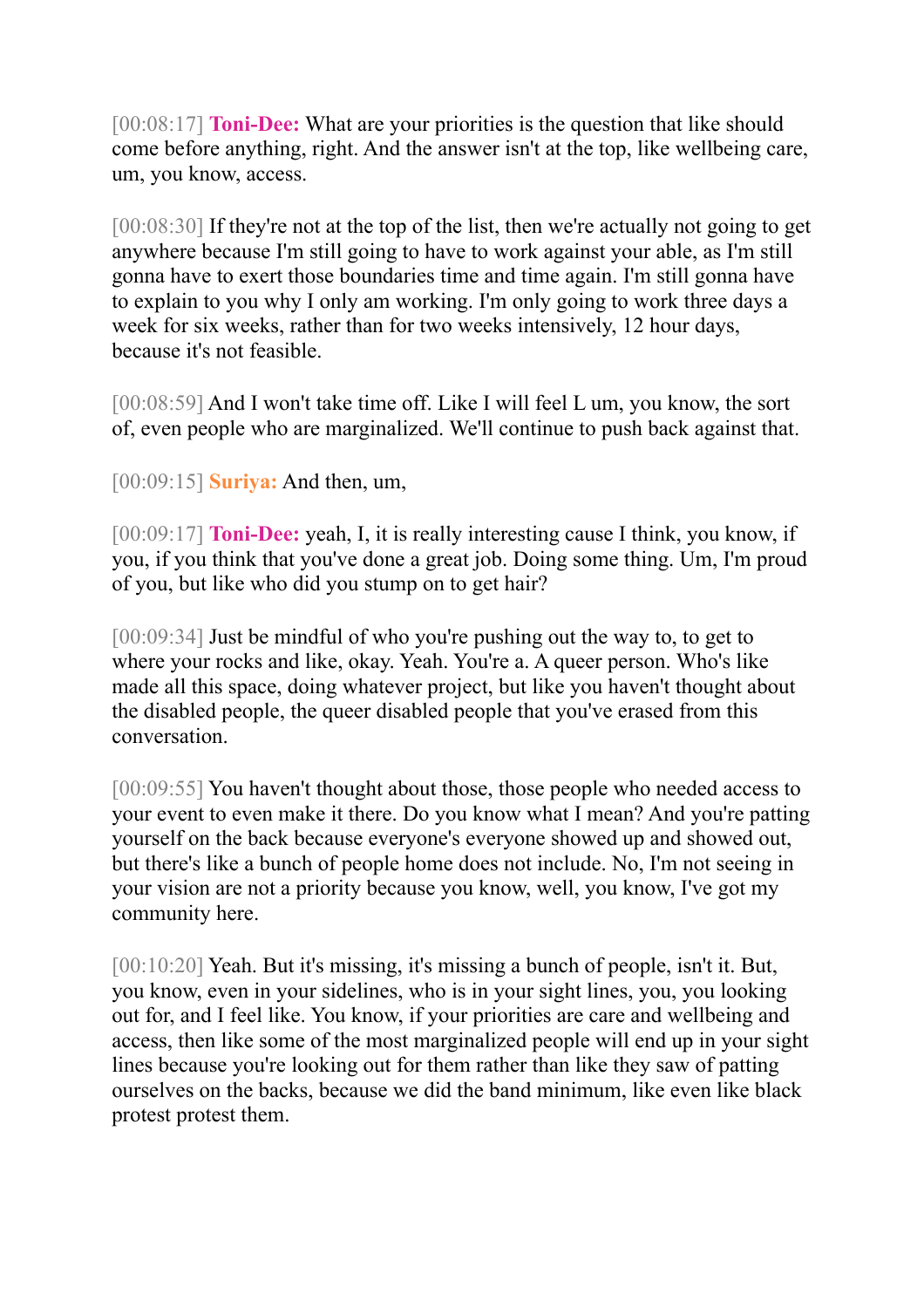[00:08:17] **Toni-Dee:** What are your priorities is the question that like should come before anything, right. And the answer isn't at the top, like wellbeing care, um, you know, access.

[00:08:30] If they're not at the top of the list, then we're actually not going to get anywhere because I'm still going to have to work against your able, as I'm still gonna have to exert those boundaries time and time again. I'm still gonna have to explain to you why I only am working. I'm only going to work three days a week for six weeks, rather than for two weeks intensively, 12 hour days, because it's not feasible.

[00:08:59] And I won't take time off. Like I will feel L um, you know, the sort of, even people who are marginalized. We'll continue to push back against that.

[00:09:15] **Suriya:** And then, um,

[00:09:17] **Toni-Dee:** yeah, I, it is really interesting cause I think, you know, if you, if you think that you've done a great job. Doing some thing. Um, I'm proud of you, but like who did you stump on to get hair?

[00:09:34] Just be mindful of who you're pushing out the way to, to get to where your rocks and like, okay. Yeah. You're a. A queer person. Who's like made all this space, doing whatever project, but like you haven't thought about the disabled people, the queer disabled people that you've erased from this conversation.

[00:09:55] You haven't thought about those, those people who needed access to your event to even make it there. Do you know what I mean? And you're patting yourself on the back because everyone's everyone showed up and showed out, but there's like a bunch of people home does not include. No, I'm not seeing in your vision are not a priority because you know, well, you know, I've got my community here.

[00:10:20] Yeah. But it's missing, it's missing a bunch of people, isn't it. But, you know, even in your sidelines, who is in your sight lines, you, you looking out for, and I feel like. You know, if your priorities are care and wellbeing and access, then like some of the most marginalized people will end up in your sight lines because you're looking out for them rather than like they saw of patting ourselves on the backs, because we did the band minimum, like even like black protest protest them.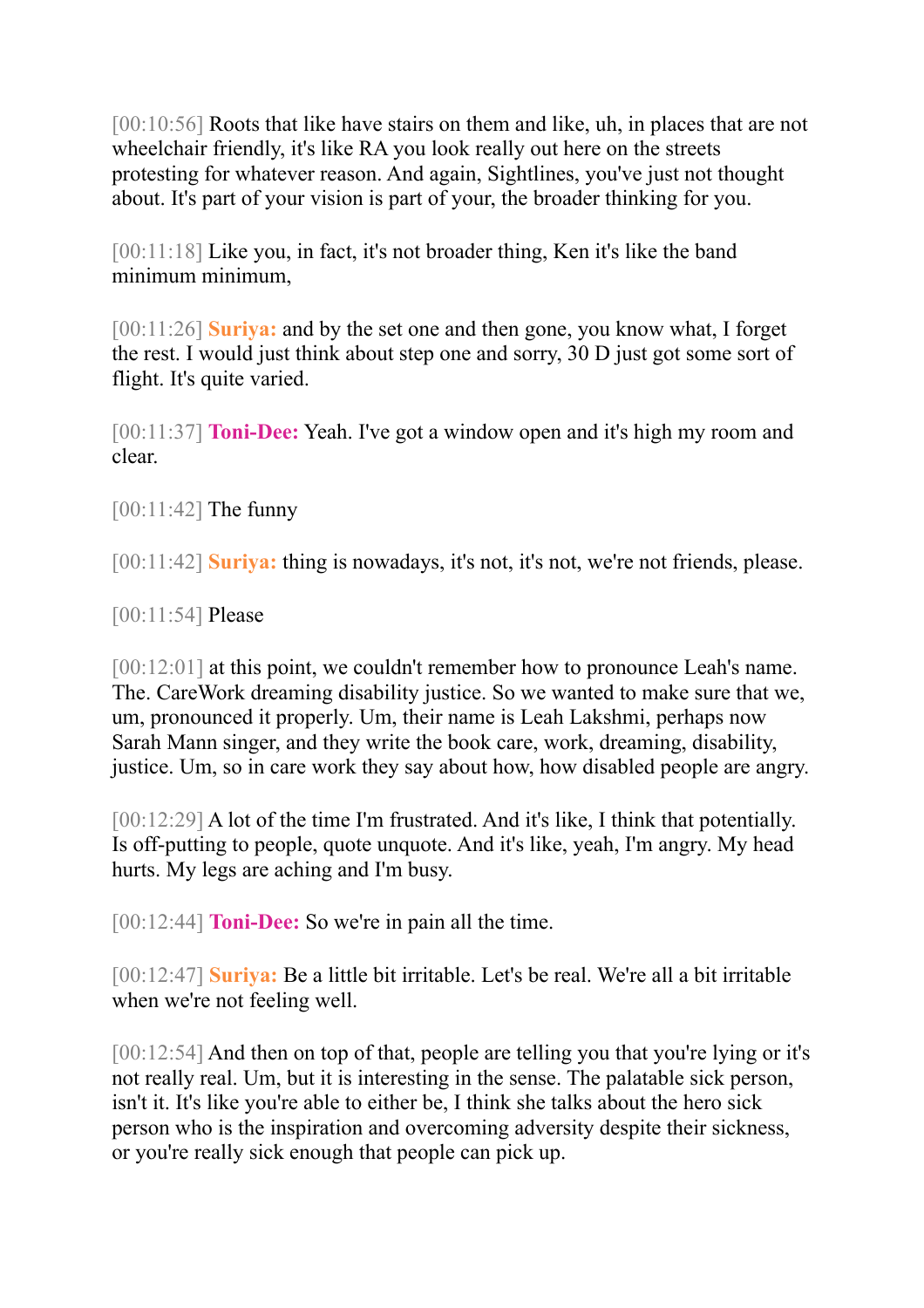[00:10:56] Roots that like have stairs on them and like, uh, in places that are not wheelchair friendly, it's like RA you look really out here on the streets protesting for whatever reason. And again, Sightlines, you've just not thought about. It's part of your vision is part of your, the broader thinking for you.

[00:11:18] Like you, in fact, it's not broader thing, Ken it's like the band minimum minimum,

[00:11:26] **Suriya:** and by the set one and then gone, you know what, I forget the rest. I would just think about step one and sorry, 30 D just got some sort of flight. It's quite varied.

[00:11:37] **Toni-Dee:** Yeah. I've got a window open and it's high my room and clear.

[00:11:42] **The funny** 

[00:11:42] **Suriya:** thing is nowadays, it's not, it's not, we're not friends, please.

[00:11:54] Please

[00:12:01] at this point, we couldn't remember how to pronounce Leah's name. The. CareWork dreaming disability justice. So we wanted to make sure that we, um, pronounced it properly. Um, their name is Leah Lakshmi, perhaps now Sarah Mann singer, and they write the book care, work, dreaming, disability, justice. Um, so in care work they say about how, how disabled people are angry.

[00:12:29] A lot of the time I'm frustrated. And it's like, I think that potentially. Is off-putting to people, quote unquote. And it's like, yeah, I'm angry. My head hurts. My legs are aching and I'm busy.

[00:12:44] **Toni-Dee:** So we're in pain all the time.

[00:12:47] **Suriya:** Be a little bit irritable. Let's be real. We're all a bit irritable when we're not feeling well.

[00:12:54] And then on top of that, people are telling you that you're lying or it's not really real. Um, but it is interesting in the sense. The palatable sick person, isn't it. It's like you're able to either be, I think she talks about the hero sick person who is the inspiration and overcoming adversity despite their sickness, or you're really sick enough that people can pick up.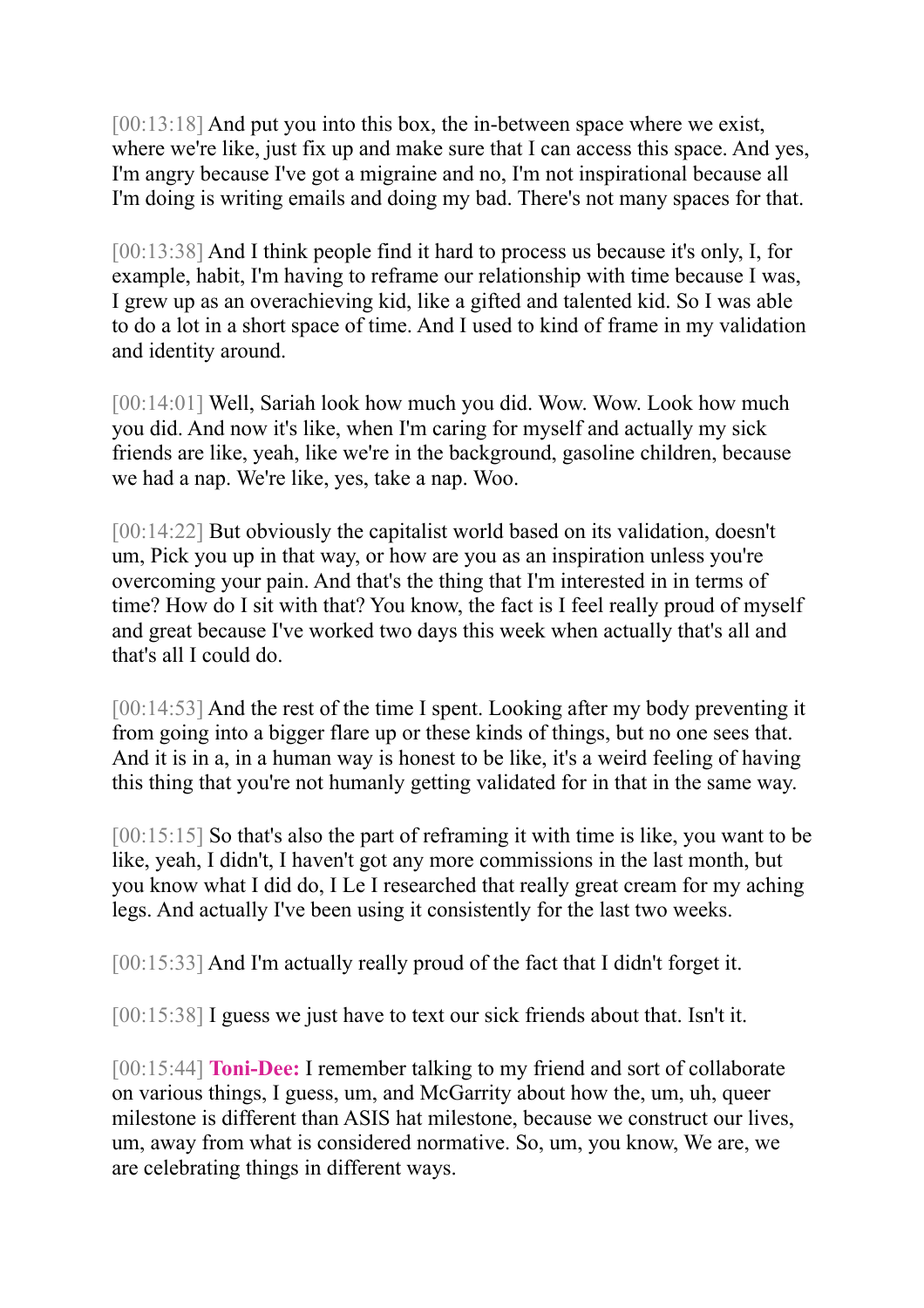[00:13:18] And put you into this box, the in-between space where we exist, where we're like, just fix up and make sure that I can access this space. And yes, I'm angry because I've got a migraine and no, I'm not inspirational because all I'm doing is writing emails and doing my bad. There's not many spaces for that.

[00:13:38] And I think people find it hard to process us because it's only, I, for example, habit, I'm having to reframe our relationship with time because I was, I grew up as an overachieving kid, like a gifted and talented kid. So I was able to do a lot in a short space of time. And I used to kind of frame in my validation and identity around.

[00:14:01] Well, Sariah look how much you did. Wow. Wow. Look how much you did. And now it's like, when I'm caring for myself and actually my sick friends are like, yeah, like we're in the background, gasoline children, because we had a nap. We're like, yes, take a nap. Woo.

[00:14:22] But obviously the capitalist world based on its validation, doesn't um, Pick you up in that way, or how are you as an inspiration unless you're overcoming your pain. And that's the thing that I'm interested in in terms of time? How do I sit with that? You know, the fact is I feel really proud of myself and great because I've worked two days this week when actually that's all and that's all I could do.

[00:14:53] And the rest of the time I spent. Looking after my body preventing it from going into a bigger flare up or these kinds of things, but no one sees that. And it is in a, in a human way is honest to be like, it's a weird feeling of having this thing that you're not humanly getting validated for in that in the same way.

[00:15:15] So that's also the part of reframing it with time is like, you want to be like, yeah, I didn't, I haven't got any more commissions in the last month, but you know what I did do, I Le I researched that really great cream for my aching legs. And actually I've been using it consistently for the last two weeks.

[00:15:33] And I'm actually really proud of the fact that I didn't forget it.

[00:15:38] I guess we just have to text our sick friends about that. Isn't it.

[00:15:44] **Toni-Dee:** I remember talking to my friend and sort of collaborate on various things, I guess, um, and McGarrity about how the, um, uh, queer milestone is different than ASIS hat milestone, because we construct our lives, um, away from what is considered normative. So, um, you know, We are, we are celebrating things in different ways.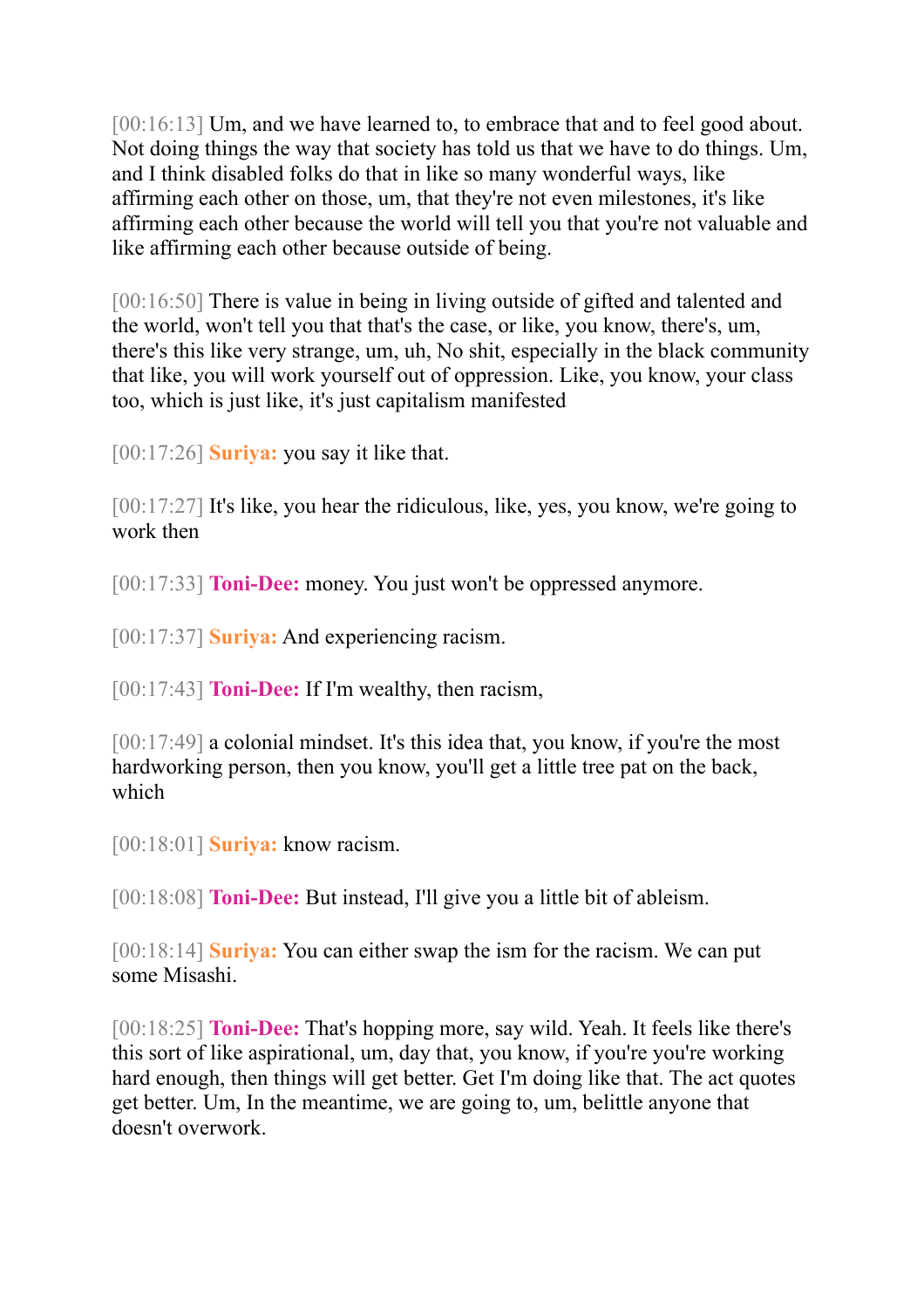[00:16:13] Um, and we have learned to, to embrace that and to feel good about. Not doing things the way that society has told us that we have to do things. Um, and I think disabled folks do that in like so many wonderful ways, like affirming each other on those, um, that they're not even milestones, it's like affirming each other because the world will tell you that you're not valuable and like affirming each other because outside of being.

[00:16:50] There is value in being in living outside of gifted and talented and the world, won't tell you that that's the case, or like, you know, there's, um, there's this like very strange, um, uh, No shit, especially in the black community that like, you will work yourself out of oppression. Like, you know, your class too, which is just like, it's just capitalism manifested

[00:17:26] **Suriya:** you say it like that.

[00:17:27] It's like, you hear the ridiculous, like, yes, you know, we're going to work then

[00:17:33] **Toni-Dee:** money. You just won't be oppressed anymore.

[00:17:37] **Suriya:** And experiencing racism.

[00:17:43] **Toni-Dee:** If I'm wealthy, then racism,

[00:17:49] a colonial mindset. It's this idea that, you know, if you're the most hardworking person, then you know, you'll get a little tree pat on the back, which

[00:18:01] **Suriya:** know racism.

[00:18:08] **Toni-Dee:** But instead, I'll give you a little bit of ableism.

[00:18:14] **Suriya:** You can either swap the ism for the racism. We can put some Misashi.

[00:18:25] **Toni-Dee:** That's hopping more, say wild. Yeah. It feels like there's this sort of like aspirational, um, day that, you know, if you're you're working hard enough, then things will get better. Get I'm doing like that. The act quotes get better. Um, In the meantime, we are going to, um, belittle anyone that doesn't overwork.